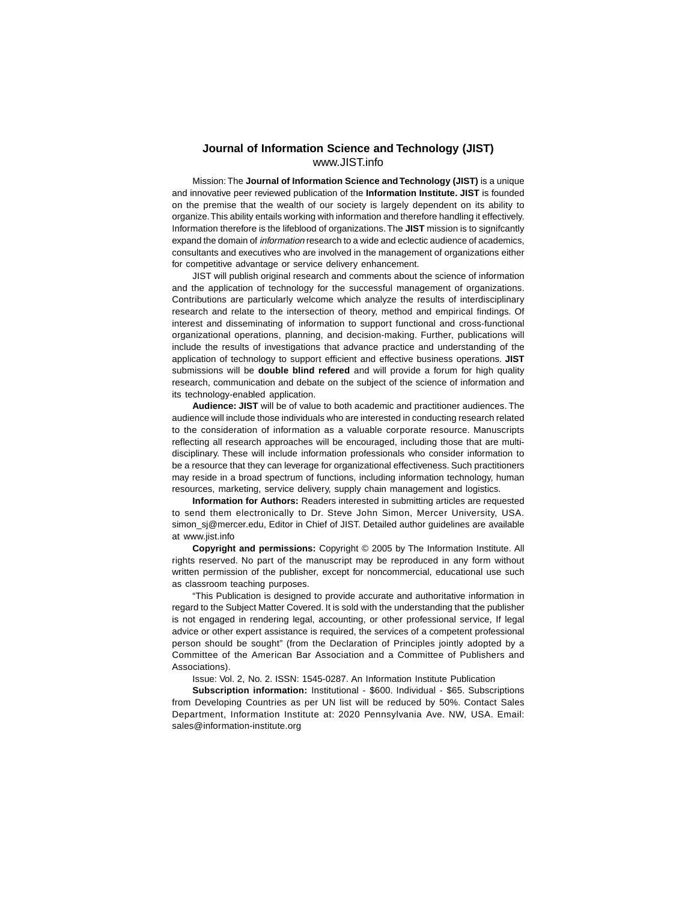## <sup>65</sup> **Journal of Information Science and Technology (JIST)** www.JIST.info

Mission: The **Journal of Information Science and Technology (JIST)** is a unique and innovative peer reviewed publication of the **Information Institute. JIST** is founded on the premise that the wealth of our society is largely dependent on its ability to organize. This ability entails working with information and therefore handling it effectively. Information therefore is the lifeblood of organizations. The **JIST** mission is to signifcantly expand the domain of information research to a wide and eclectic audience of academics, consultants and executives who are involved in the management of organizations either for competitive advantage or service delivery enhancement.

JIST will publish original research and comments about the science of information and the application of technology for the successful management of organizations. Contributions are particularly welcome which analyze the results of interdisciplinary research and relate to the intersection of theory, method and empirical findings. Of interest and disseminating of information to support functional and cross-functional organizational operations, planning, and decision-making. Further, publications will include the results of investigations that advance practice and understanding of the application of technology to support efficient and effective business operations. **JIST** submissions will be **double blind refered** and will provide a forum for high quality research, communication and debate on the subject of the science of information and its technology-enabled application.

**Audience: JIST** will be of value to both academic and practitioner audiences. The audience will include those individuals who are interested in conducting research related to the consideration of information as a valuable corporate resource. Manuscripts reflecting all research approaches will be encouraged, including those that are multidisciplinary. These will include information professionals who consider information to be a resource that they can leverage for organizational effectiveness. Such practitioners may reside in a broad spectrum of functions, including information technology, human resources, marketing, service delivery, supply chain management and logistics.

**Information for Authors:** Readers interested in submitting articles are requested to send them electronically to Dr. Steve John Simon, Mercer University, USA. simon\_sj@mercer.edu, Editor in Chief of JIST. Detailed author guidelines are available at www.jist.info

**Copyright and permissions:** Copyright © 2005 by The Information Institute. All rights reserved. No part of the manuscript may be reproduced in any form without written permission of the publisher, except for noncommercial, educational use such as classroom teaching purposes.

"This Publication is designed to provide accurate and authoritative information in regard to the Subject Matter Covered. It is sold with the understanding that the publisher is not engaged in rendering legal, accounting, or other professional service, If legal advice or other expert assistance is required, the services of a competent professional person should be sought" (from the Declaration of Principles jointly adopted by a Committee of the American Bar Association and a Committee of Publishers and Associations).

Issue: Vol. 2, No. 2. ISSN: 1545-0287. An Information Institute Publication

**Subscription information:** Institutional - \$600. Individual - \$65. Subscriptions from Developing Countries as per UN list will be reduced by 50%. Contact Sales Department, Information Institute at: 2020 Pennsylvania Ave. NW, USA. Email: sales@information-institute.org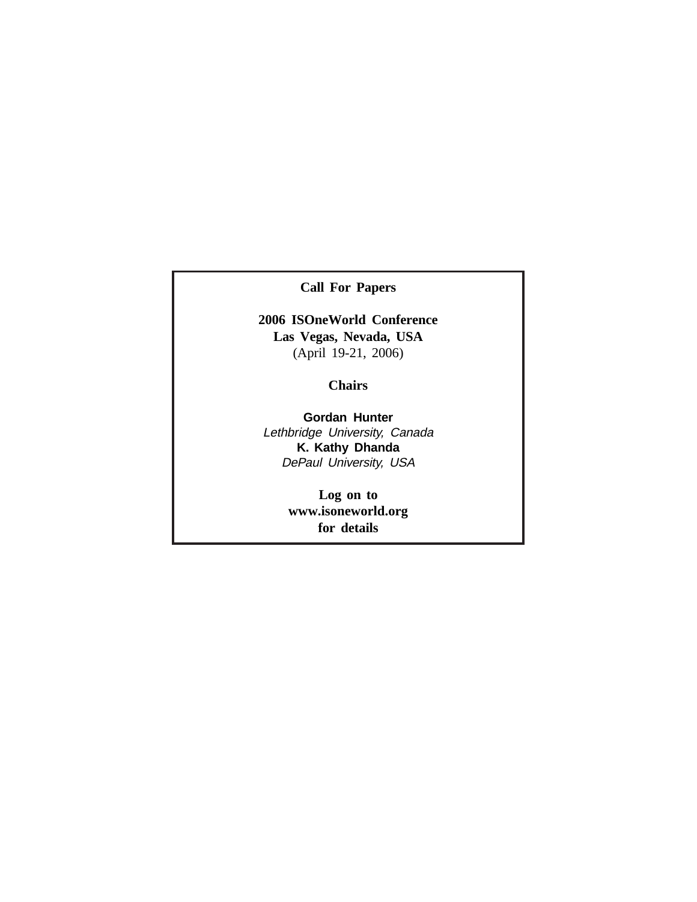**Call For Papers**

# **2006 ISOneWorld Conference Las Vegas, Nevada, USA** (April 19-21, 2006)

## **Chairs**

**Gordan Hunter** Lethbridge University, Canada **K. Kathy Dhanda** DePaul University, USA

> **Log on to www.isoneworld.org for details**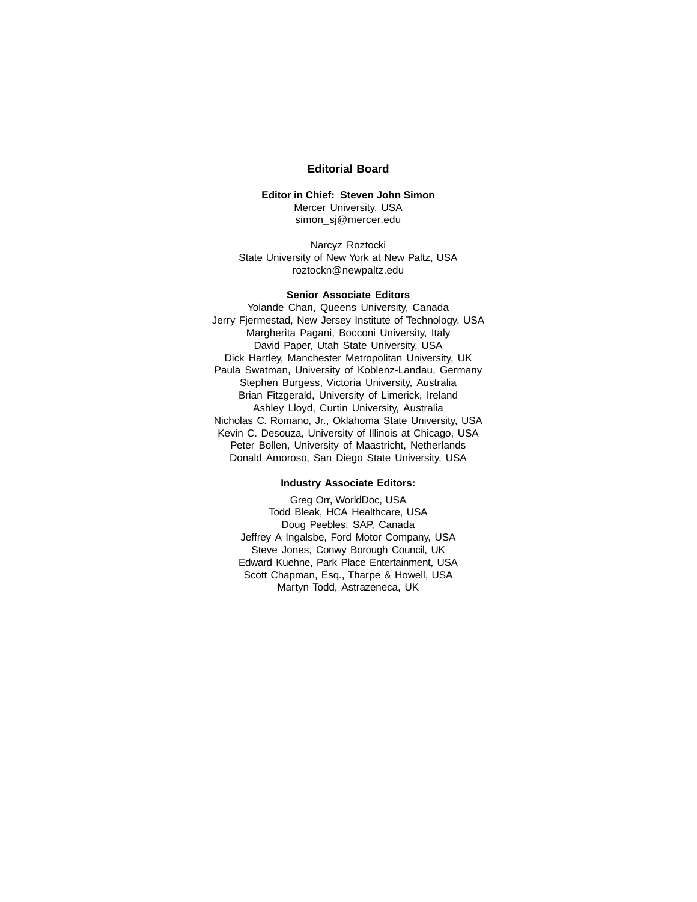## **Editorial Board**

## **Editor in Chief: Steven John Simon** Mercer University, USA simon\_sj@mercer.edu

Narcyz Roztocki State University of New York at New Paltz, USA roztockn@newpaltz.edu

## **Senior Associate Editors**

Yolande Chan, Queens University, Canada Jerry Fjermestad, New Jersey Institute of Technology, USA Margherita Pagani, Bocconi University, Italy David Paper, Utah State University, USA Dick Hartley, Manchester Metropolitan University, UK Paula Swatman, University of Koblenz-Landau, Germany Stephen Burgess, Victoria University, Australia Brian Fitzgerald, University of Limerick, Ireland Ashley Lloyd, Curtin University, Australia Nicholas C. Romano, Jr., Oklahoma State University, USA Kevin C. Desouza, University of Illinois at Chicago, USA Peter Bollen, University of Maastricht, Netherlands Donald Amoroso, San Diego State University, USA

#### **Industry Associate Editors:**

Greg Orr, WorldDoc, USA Todd Bleak, HCA Healthcare, USA Doug Peebles, SAP, Canada Jeffrey A Ingalsbe, Ford Motor Company, USA Steve Jones, Conwy Borough Council, UK Edward Kuehne, Park Place Entertainment, USA Scott Chapman, Esq., Tharpe & Howell, USA Martyn Todd, Astrazeneca, UK